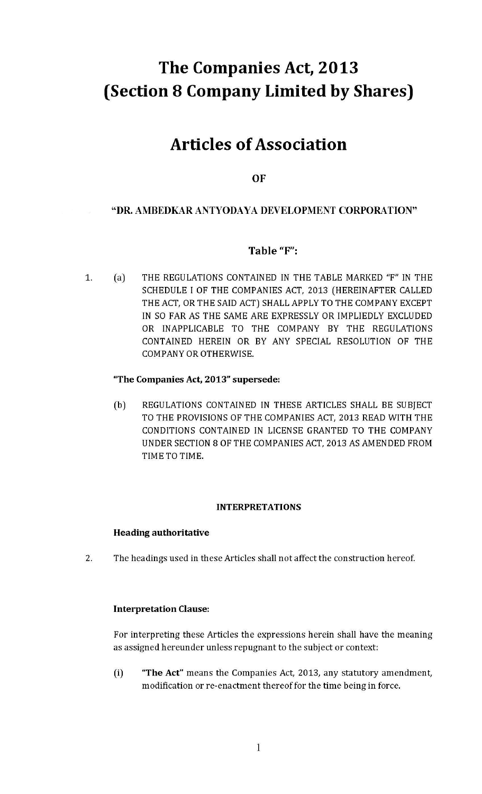# The Companies Act, 2013 (Section 8 Company Limited by Shares)

# **Articles of Association**

**OF** 

# "DR. AMBEDKAR ANTYODAYA DEVELOPMENT CORPORATION"

# Table "F":

THE REGULATIONS CONTAINED IN THE TABLE MARKED "F" IN THE 1.  $(a)$ SCHEDULE I OF THE COMPANIES ACT, 2013 (HEREINAFTER CALLED THE ACT, OR THE SAID ACT) SHALL APPLY TO THE COMPANY EXCEPT IN SO FAR AS THE SAME ARE EXPRESSLY OR IMPLIEDLY EXCLUDED OR INAPPLICABLE TO THE COMPANY BY THE REGULATIONS CONTAINED HEREIN OR BY ANY SPECIAL RESOLUTION OF THE **COMPANY OR OTHERWISE.** 

# "The Companies Act, 2013" supersede:

 $(b)$ REGULATIONS CONTAINED IN THESE ARTICLES SHALL BE SUBJECT TO THE PROVISIONS OF THE COMPANIES ACT, 2013 READ WITH THE CONDITIONS CONTAINED IN LICENSE GRANTED TO THE COMPANY UNDER SECTION 8 OF THE COMPANIES ACT, 2013 AS AMENDED FROM TIME TO TIME.

# **INTERPRETATIONS**

# **Heading authoritative**

 $2.$ The headings used in these Articles shall not affect the construction hereof.

# **Interpretation Clause:**

For interpreting these Articles the expressions herein shall have the meaning as assigned hereunder unless repugnant to the subject or context:

 $(i)$ "The Act" means the Companies Act, 2013, any statutory amendment, modification or re-enactment thereof for the time being in force.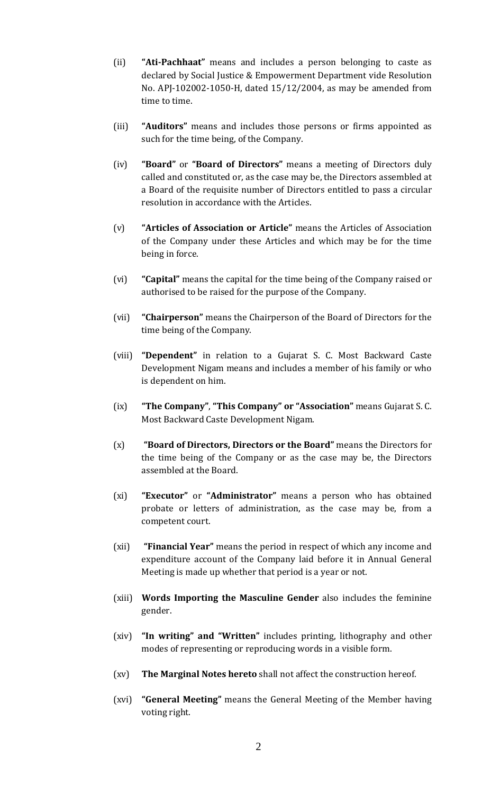- (ii) **"Ati-Pachhaat"** means and includes a person belonging to caste as declared by Social Justice & Empowerment Department vide Resolution No. APJ-102002-1050-H, dated 15/12/2004, as may be amended from time to time.
- (iii) **"Auditors"** means and includes those persons or firms appointed as such for the time being, of the Company.
- (iv) **"Board"** or **"Board of Directors"** means a meeting of Directors duly called and constituted or, as the case may be, the Directors assembled at a Board of the requisite number of Directors entitled to pass a circular resolution in accordance with the Articles.
- (v) **"Articles of Association or Article"** means the Articles of Association of the Company under these Articles and which may be for the time being in force.
- (vi) **"Capital"** means the capital for the time being of the Company raised or authorised to be raised for the purpose of the Company.
- (vii) **"Chairperson"** means the Chairperson of the Board of Directors for the time being of the Company.
- (viii) **"Dependent"** in relation to a Gujarat S. C. Most Backward Caste Development Nigam means and includes a member of his family or who is dependent on him.
- (ix) **"The Company"**, **"This Company" or "Association"** means Gujarat S. C. Most Backward Caste Development Nigam.
- (x) **"Board of Directors, Directors or the Board"** means the Directors for the time being of the Company or as the case may be, the Directors assembled at the Board.
- (xi) **"Executor"** or **"Administrator"** means a person who has obtained probate or letters of administration, as the case may be, from a competent court.
- (xii) **"Financial Year"** means the period in respect of which any income and expenditure account of the Company laid before it in Annual General Meeting is made up whether that period is a year or not.
- (xiii) **Words Importing the Masculine Gender** also includes the feminine gender.
- (xiv) **"In writing" and "Written"** includes printing, lithography and other modes of representing or reproducing words in a visible form.
- (xv) **The Marginal Notes hereto** shall not affect the construction hereof.
- (xvi) **"General Meeting"** means the General Meeting of the Member having voting right.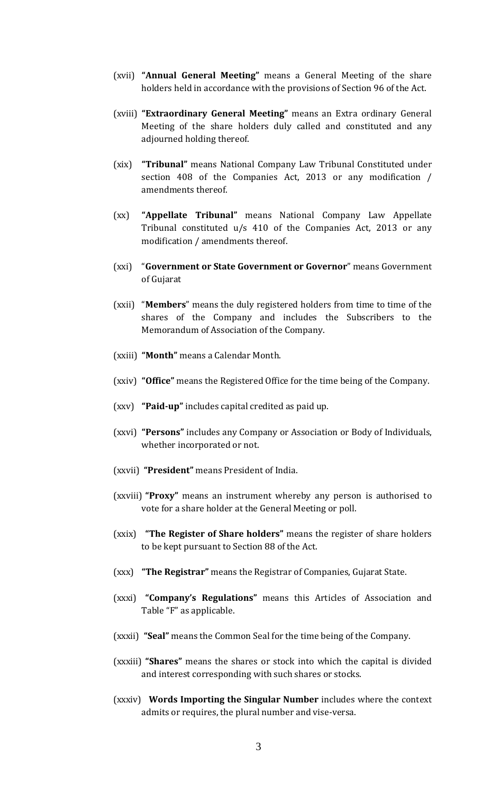- (xvii) **"Annual General Meeting"** means a General Meeting of the share holders held in accordance with the provisions of Section 96 of the Act.
- (xviii) **"Extraordinary General Meeting"** means an Extra ordinary General Meeting of the share holders duly called and constituted and any adjourned holding thereof.
- (xix) **"Tribunal"** means National Company Law Tribunal Constituted under section 408 of the Companies Act, 2013 or any modification / amendments thereof.
- (xx) **"Appellate Tribunal"** means National Company Law Appellate Tribunal constituted u/s 410 of the Companies Act, 2013 or any modification / amendments thereof.
- (xxi) "**Government or State Government or Governor**" means Government of Gujarat
- (xxii) "**Members**" means the duly registered holders from time to time of the shares of the Company and includes the Subscribers to the Memorandum of Association of the Company.
- (xxiii) **"Month"** means a Calendar Month.
- (xxiv) **"Office"** means the Registered Office for the time being of the Company.
- (xxv) **"Paid-up"** includes capital credited as paid up.
- (xxvi) **"Persons"** includes any Company or Association or Body of Individuals, whether incorporated or not.
- (xxvii) **"President"** means President of India.
- (xxviii) **"Proxy"** means an instrument whereby any person is authorised to vote for a share holder at the General Meeting or poll.
- (xxix) **"The Register of Share holders"** means the register of share holders to be kept pursuant to Section 88 of the Act.
- (xxx) **"The Registrar"** means the Registrar of Companies, Gujarat State.
- (xxxi) **"Company's Regulations"** means this Articles of Association and Table "F" as applicable.
- (xxxii) **"Seal"** means the Common Seal for the time being of the Company.
- (xxxiii) **"Shares"** means the shares or stock into which the capital is divided and interest corresponding with such shares or stocks.
- (xxxiv) **Words Importing the Singular Number** includes where the context admits or requires, the plural number and vise-versa.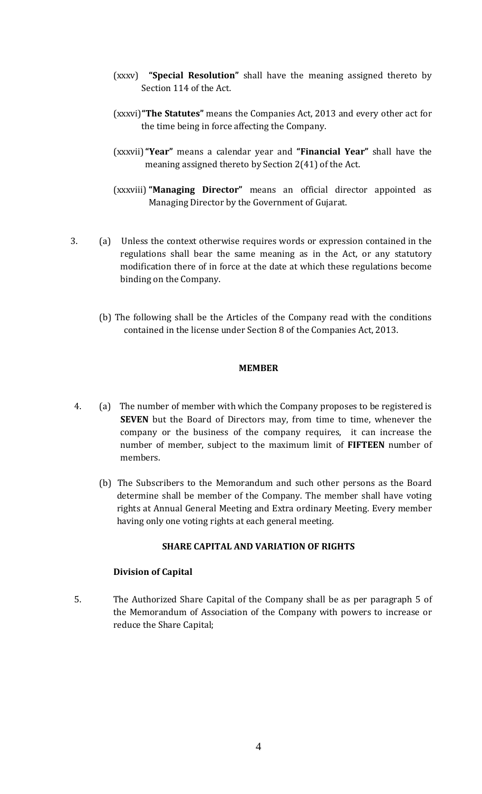- (xxxv) **"Special Resolution"** shall have the meaning assigned thereto by Section 114 of the Act.
- (xxxvi)**"The Statutes"** means the Companies Act, 2013 and every other act for the time being in force affecting the Company.
- (xxxvii)**"Year"** means a calendar year and **"Financial Year"** shall have the meaning assigned thereto by Section 2(41) of the Act.
- (xxxviii)**"Managing Director"** means an official director appointed as Managing Director by the Government of Gujarat.
- 3. (a) Unless the context otherwise requires words or expression contained in the regulations shall bear the same meaning as in the Act, or any statutory modification there of in force at the date at which these regulations become binding on the Company.
	- (b) The following shall be the Articles of the Company read with the conditions contained in the license under Section 8 of the Companies Act, 2013.

#### **MEMBER**

- 4. (a) The number of member with which the Company proposes to be registered is **SEVEN** but the Board of Directors may, from time to time, whenever the company or the business of the company requires, it can increase the number of member, subject to the maximum limit of **FIFTEEN** number of members.
	- (b) The Subscribers to the Memorandum and such other persons as the Board determine shall be member of the Company. The member shall have voting rights at Annual General Meeting and Extra ordinary Meeting. Every member having only one voting rights at each general meeting.

#### **SHARE CAPITAL AND VARIATION OF RIGHTS**

# **Division of Capital**

5. The Authorized Share Capital of the Company shall be as per paragraph 5 of the Memorandum of Association of the Company with powers to increase or reduce the Share Capital;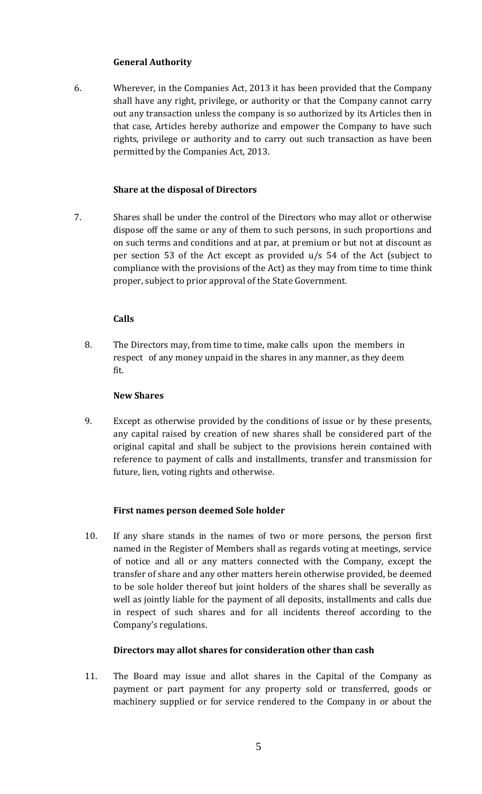# **General Authority**

6. Wherever, in the Companies Act, 2013 it has been provided that the Company shall have any right, privilege, or authority or that the Company cannot carry out any transaction unless the company is so authorized by its Articles then in that case, Articles hereby authorize and empower the Company to have such rights, privilege or authority and to carry out such transaction as have been permitted by the Companies Act, 2013.

# **Share at the disposal of Directors**

7. Shares shall be under the control of the Directors who may allot or otherwise dispose off the same or any of them to such persons, in such proportions and on such terms and conditions and at par, at premium or but not at discount as per section 53 of the Act except as provided u/s 54 of the Act (subject to compliance with the provisions of the Act) as they may from time to time think proper, subject to prior approval of the State Government.

# **Calls**

8. The Directors may, from time to time, make calls upon the members in respect of any money unpaid in the shares in any manner, as they deem fit.

# **New Shares**

9. Except as otherwise provided by the conditions of issue or by these presents, any capital raised by creation of new shares shall be considered part of the original capital and shall be subject to the provisions herein contained with reference to payment of calls and installments, transfer and transmission for future, lien, voting rights and otherwise.

# **First names person deemed Sole holder**

10. If any share stands in the names of two or more persons, the person first named in the Register of Members shall as regards voting at meetings, service of notice and all or any matters connected with the Company, except the transfer of share and any other matters herein otherwise provided, be deemed to be sole holder thereof but joint holders of the shares shall be severally as well as jointly liable for the payment of all deposits, installments and calls due in respect of such shares and for all incidents thereof according to the Company's regulations.

# **Directors may allot shares for consideration other than cash**

11. The Board may issue and allot shares in the Capital of the Company as payment or part payment for any property sold or transferred, goods or machinery supplied or for service rendered to the Company in or about the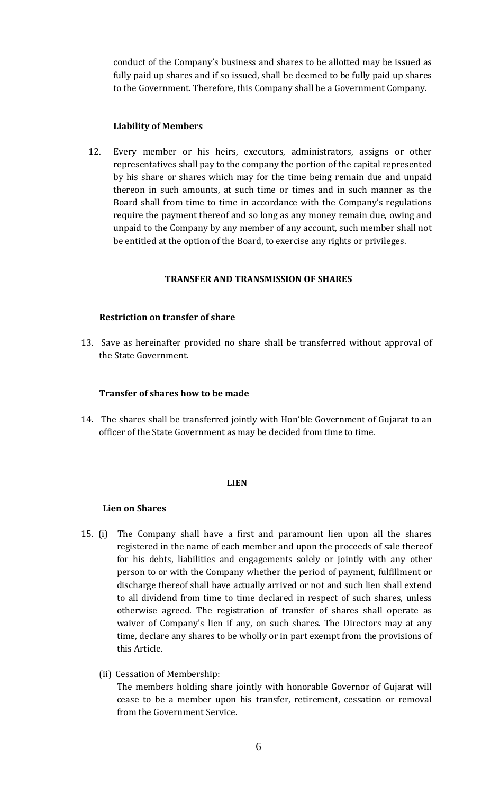conduct of the Company's business and shares to be allotted may be issued as fully paid up shares and if so issued, shall be deemed to be fully paid up shares to the Government. Therefore, this Company shall be a Government Company.

#### **Liability of Members**

12. Every member or his heirs, executors, administrators, assigns or other representatives shall pay to the company the portion of the capital represented by his share or shares which may for the time being remain due and unpaid thereon in such amounts, at such time or times and in such manner as the Board shall from time to time in accordance with the Company's regulations require the payment thereof and so long as any money remain due, owing and unpaid to the Company by any member of any account, such member shall not be entitled at the option of the Board, to exercise any rights or privileges.

## **TRANSFER AND TRANSMISSION OF SHARES**

## **Restriction on transfer of share**

13. Save as hereinafter provided no share shall be transferred without approval of the State Government.

#### **Transfer of shares how to be made**

14. The shares shall be transferred jointly with Hon'ble Government of Gujarat to an officer of the State Government as may be decided from time to time.

#### **LIEN**

#### **Lien on Shares**

- 15. (i) The Company shall have a first and paramount lien upon all the shares registered in the name of each member and upon the proceeds of sale thereof for his debts, liabilities and engagements solely or jointly with any other person to or with the Company whether the period of payment, fulfillment or discharge thereof shall have actually arrived or not and such lien shall extend to all dividend from time to time declared in respect of such shares, unless otherwise agreed. The registration of transfer of shares shall operate as waiver of Company's lien if any, on such shares. The Directors may at any time, declare any shares to be wholly or in part exempt from the provisions of this Article.
	- (ii) Cessation of Membership:

The members holding share jointly with honorable Governor of Gujarat will cease to be a member upon his transfer, retirement, cessation or removal from the Government Service.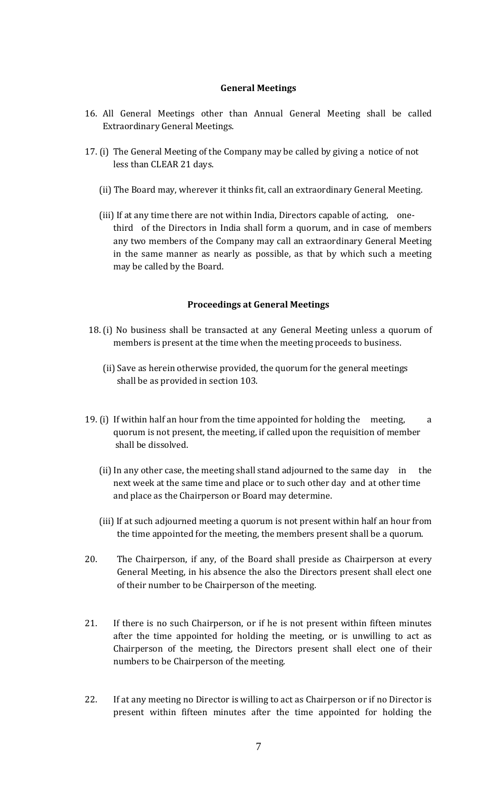#### **General Meetings**

- 16. All General Meetings other than Annual General Meeting shall be called Extraordinary General Meetings.
- 17. (i) The General Meeting of the Company may be called by giving a notice of not less than CLEAR 21 days.
	- (ii) The Board may, wherever it thinks fit, call an extraordinary General Meeting.
	- (iii) If at any time there are not within India, Directors capable of acting, onethird of the Directors in India shall form a quorum, and in case of members any two members of the Company may call an extraordinary General Meeting in the same manner as nearly as possible, as that by which such a meeting may be called by the Board.

#### **Proceedings at General Meetings**

- 18. (i) No business shall be transacted at any General Meeting unless a quorum of members is present at the time when the meeting proceeds to business.
	- (ii) Save as herein otherwise provided, the quorum for the general meetings shall be as provided in section 103.
- 19. (i) If within half an hour from the time appointed for holding the meeting,  $\qquad a$ quorum is not present, the meeting, if called upon the requisition of member shall be dissolved.
	- (ii) In any other case, the meeting shall stand adjourned to the same day in the next week at the same time and place or to such other day and at other time and place as the Chairperson or Board may determine.
	- (iii) If at such adjourned meeting a quorum is not present within half an hour from the time appointed for the meeting, the members present shall be a quorum.
- 20. The Chairperson, if any, of the Board shall preside as Chairperson at every General Meeting, in his absence the also the Directors present shall elect one of their number to be Chairperson of the meeting.
- 21. If there is no such Chairperson, or if he is not present within fifteen minutes after the time appointed for holding the meeting, or is unwilling to act as Chairperson of the meeting, the Directors present shall elect one of their numbers to be Chairperson of the meeting.
- 22. If at any meeting no Director is willing to act as Chairperson or if no Director is present within fifteen minutes after the time appointed for holding the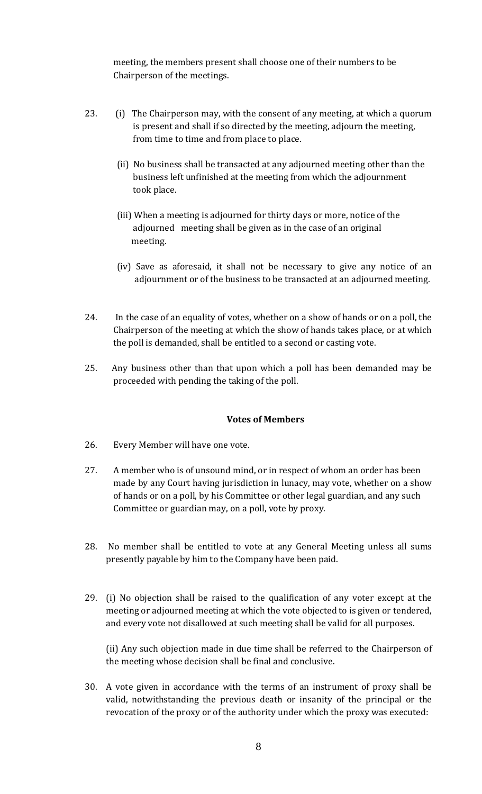meeting, the members present shall choose one of their numbers to be Chairperson of the meetings.

- 23. (i) The Chairperson may, with the consent of any meeting, at which a quorum is present and shall if so directed by the meeting, adjourn the meeting, from time to time and from place to place.
	- (ii) No business shall be transacted at any adjourned meeting other than the business left unfinished at the meeting from which the adjournment took place.
	- (iii) When a meeting is adjourned for thirty days or more, notice of the adjourned meeting shall be given as in the case of an original meeting.
	- (iv) Save as aforesaid, it shall not be necessary to give any notice of an adjournment or of the business to be transacted at an adjourned meeting.
- 24. In the case of an equality of votes, whether on a show of hands or on a poll, the Chairperson of the meeting at which the show of hands takes place, or at which the poll is demanded, shall be entitled to a second or casting vote.
- 25. Any business other than that upon which a poll has been demanded may be proceeded with pending the taking of the poll.

# **Votes of Members**

- 26. Every Member will have one vote.
- 27. A member who is of unsound mind, or in respect of whom an order has been made by any Court having jurisdiction in lunacy, may vote, whether on a show of hands or on a poll, by his Committee or other legal guardian, and any such Committee or guardian may, on a poll, vote by proxy.
- 28. No member shall be entitled to vote at any General Meeting unless all sums presently payable by him to the Company have been paid.
- 29. (i) No objection shall be raised to the qualification of any voter except at the meeting or adjourned meeting at which the vote objected to is given or tendered, and every vote not disallowed at such meeting shall be valid for all purposes.

(ii) Any such objection made in due time shall be referred to the Chairperson of the meeting whose decision shall be final and conclusive.

30. A vote given in accordance with the terms of an instrument of proxy shall be valid, notwithstanding the previous death or insanity of the principal or the revocation of the proxy or of the authority under which the proxy was executed: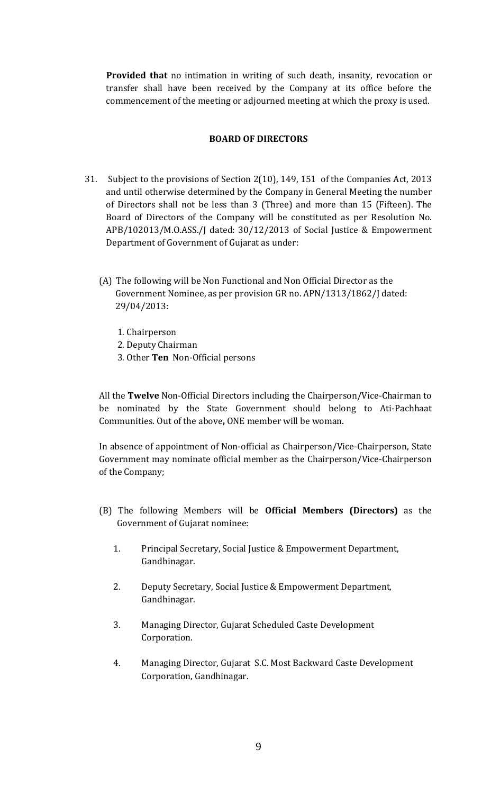**Provided that** no intimation in writing of such death, insanity, revocation or transfer shall have been received by the Company at its office before the commencement of the meeting or adjourned meeting at which the proxy is used.

## **BOARD OF DIRECTORS**

- 31. Subject to the provisions of Section 2(10), 149, 151 of the Companies Act, 2013 and until otherwise determined by the Company in General Meeting the number of Directors shall not be less than 3 (Three) and more than 15 (Fifteen). The Board of Directors of the Company will be constituted as per Resolution No. APB/102013/M.O.ASS./J dated: 30/12/2013 of Social Justice & Empowerment Department of Government of Gujarat as under:
	- (A) The following will be Non Functional and Non Official Director as the Government Nominee, as per provision GR no. APN/1313/1862/J dated: 29/04/2013:
		- 1. Chairperson
		- 2. Deputy Chairman
		- 3. Other **Ten** Non-Official persons

All the **Twelve** Non-Official Directors including the Chairperson/Vice-Chairman to be nominated by the State Government should belong to Ati-Pachhaat Communities. Out of the above**,** ONE member will be woman.

In absence of appointment of Non-official as Chairperson/Vice-Chairperson, State Government may nominate official member as the Chairperson/Vice-Chairperson of the Company;

- (B) The following Members will be **Official Members (Directors)** as the Government of Gujarat nominee:
	- 1. Principal Secretary, Social Justice & Empowerment Department, Gandhinagar.
	- 2. Deputy Secretary, Social Justice & Empowerment Department, Gandhinagar.
	- 3. Managing Director, Gujarat Scheduled Caste Development Corporation.
	- 4. Managing Director, Gujarat S.C. Most Backward Caste Development Corporation, Gandhinagar.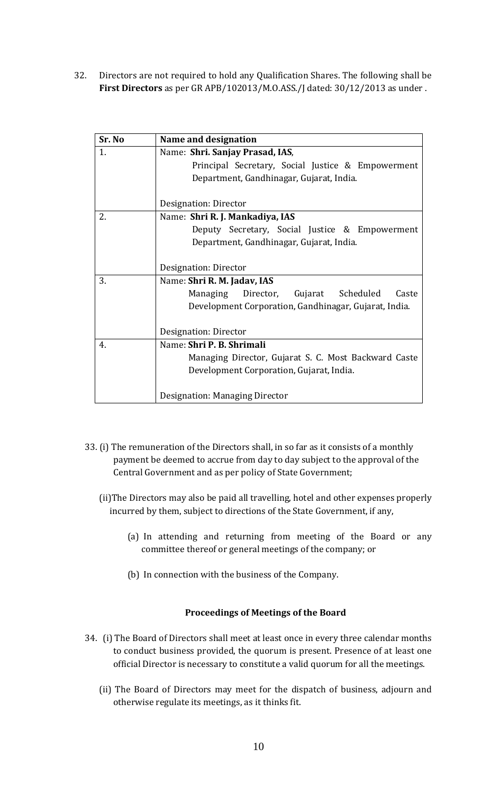32. Directors are not required to hold any Qualification Shares. The following shall be **First Directors** as per GR APB/102013/M.O.ASS./J dated: 30/12/2013 as under .

| Sr. No | Name and designation                                  |  |  |  |  |
|--------|-------------------------------------------------------|--|--|--|--|
| 1.     | Name: Shri. Sanjay Prasad, IAS,                       |  |  |  |  |
|        | Principal Secretary, Social Justice & Empowerment     |  |  |  |  |
|        | Department, Gandhinagar, Gujarat, India.              |  |  |  |  |
|        |                                                       |  |  |  |  |
|        | Designation: Director                                 |  |  |  |  |
| 2.     | Name: Shri R. J. Mankadiya, IAS                       |  |  |  |  |
|        | Deputy Secretary, Social Justice & Empowerment        |  |  |  |  |
|        | Department, Gandhinagar, Gujarat, India.              |  |  |  |  |
|        |                                                       |  |  |  |  |
|        | Designation: Director                                 |  |  |  |  |
| 3.     | Name: Shri R. M. Jadav, IAS                           |  |  |  |  |
|        | Managing Director, Gujarat Scheduled<br>Caste         |  |  |  |  |
|        | Development Corporation, Gandhinagar, Gujarat, India. |  |  |  |  |
|        |                                                       |  |  |  |  |
|        | Designation: Director                                 |  |  |  |  |
| 4.     | Name: Shri P. B. Shrimali                             |  |  |  |  |
|        | Managing Director, Gujarat S. C. Most Backward Caste  |  |  |  |  |
|        | Development Corporation, Gujarat, India.              |  |  |  |  |
|        |                                                       |  |  |  |  |
|        | Designation: Managing Director                        |  |  |  |  |

- 33. (i) The remuneration of the Directors shall, in so far as it consists of a monthly payment be deemed to accrue from day to day subject to the approval of the Central Government and as per policy of State Government;
	- (ii)The Directors may also be paid all travelling, hotel and other expenses properly incurred by them, subject to directions of the State Government, if any,
		- (a) In attending and returning from meeting of the Board or any committee thereof or general meetings of the company; or
		- (b) In connection with the business of the Company.

#### **Proceedings of Meetings of the Board**

- 34. (i) The Board of Directors shall meet at least once in every three calendar months to conduct business provided, the quorum is present. Presence of at least one official Director is necessary to constitute a valid quorum for all the meetings.
	- (ii) The Board of Directors may meet for the dispatch of business, adjourn and otherwise regulate its meetings, as it thinks fit.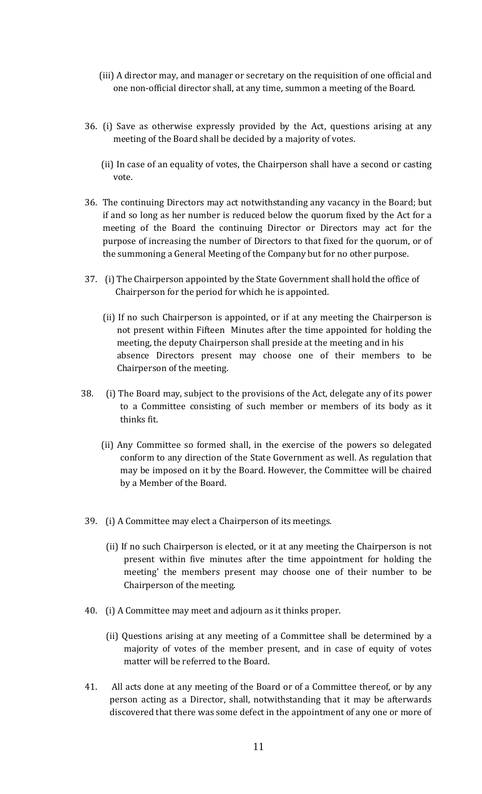- (iii) A director may, and manager or secretary on the requisition of one official and one non-official director shall, at any time, summon a meeting of the Board.
- 36. (i) Save as otherwise expressly provided by the Act, questions arising at any meeting of the Board shall be decided by a majority of votes.
	- (ii) In case of an equality of votes, the Chairperson shall have a second or casting vote.
- 36. The continuing Directors may act notwithstanding any vacancy in the Board; but if and so long as her number is reduced below the quorum fixed by the Act for a meeting of the Board the continuing Director or Directors may act for the purpose of increasing the number of Directors to that fixed for the quorum, or of the summoning a General Meeting of the Company but for no other purpose.
- 37. (i) The Chairperson appointed by the State Government shall hold the office of Chairperson for the period for which he is appointed.
	- (ii) If no such Chairperson is appointed, or if at any meeting the Chairperson is not present within Fifteen Minutes after the time appointed for holding the meeting, the deputy Chairperson shall preside at the meeting and in his absence Directors present may choose one of their members to be Chairperson of the meeting.
- 38. (i) The Board may, subject to the provisions of the Act, delegate any of its power to a Committee consisting of such member or members of its body as it thinks fit.
	- (ii) Any Committee so formed shall, in the exercise of the powers so delegated conform to any direction of the State Government as well. As regulation that may be imposed on it by the Board. However, the Committee will be chaired by a Member of the Board.
- 39. (i) A Committee may elect a Chairperson of its meetings.
	- (ii) If no such Chairperson is elected, or it at any meeting the Chairperson is not present within five minutes after the time appointment for holding the meeting' the members present may choose one of their number to be Chairperson of the meeting.
- 40. (i) A Committee may meet and adjourn as it thinks proper.
	- (ii) Questions arising at any meeting of a Committee shall be determined by a majority of votes of the member present, and in case of equity of votes matter will be referred to the Board.
- 41. All acts done at any meeting of the Board or of a Committee thereof, or by any person acting as a Director, shall, notwithstanding that it may be afterwards discovered that there was some defect in the appointment of any one or more of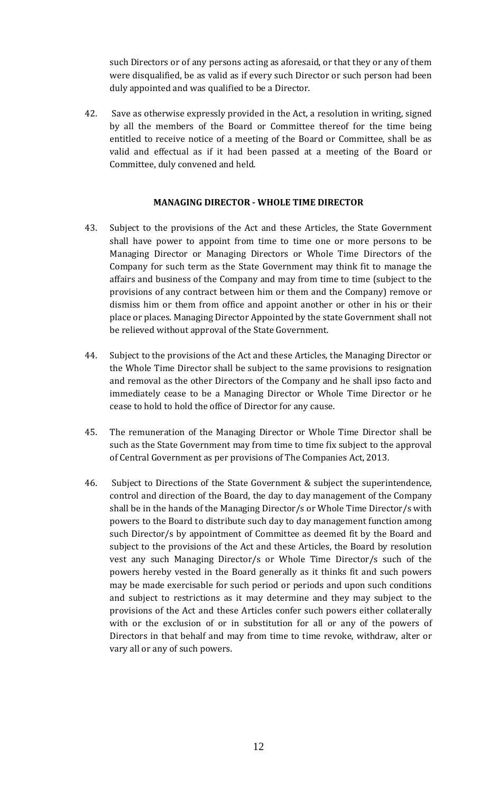such Directors or of any persons acting as aforesaid, or that they or any of them were disqualified, be as valid as if every such Director or such person had been duly appointed and was qualified to be a Director.

42. Save as otherwise expressly provided in the Act, a resolution in writing, signed by all the members of the Board or Committee thereof for the time being entitled to receive notice of a meeting of the Board or Committee, shall be as valid and effectual as if it had been passed at a meeting of the Board or Committee, duly convened and held.

# **MANAGING DIRECTOR - WHOLE TIME DIRECTOR**

- 43. Subject to the provisions of the Act and these Articles, the State Government shall have power to appoint from time to time one or more persons to be Managing Director or Managing Directors or Whole Time Directors of the Company for such term as the State Government may think fit to manage the affairs and business of the Company and may from time to time (subject to the provisions of any contract between him or them and the Company) remove or dismiss him or them from office and appoint another or other in his or their place or places. Managing Director Appointed by the state Government shall not be relieved without approval of the State Government.
- 44. Subject to the provisions of the Act and these Articles, the Managing Director or the Whole Time Director shall be subject to the same provisions to resignation and removal as the other Directors of the Company and he shall ipso facto and immediately cease to be a Managing Director or Whole Time Director or he cease to hold to hold the office of Director for any cause.
- 45. The remuneration of the Managing Director or Whole Time Director shall be such as the State Government may from time to time fix subject to the approval of Central Government as per provisions of The Companies Act, 2013.
- 46. Subject to Directions of the State Government & subject the superintendence, control and direction of the Board, the day to day management of the Company shall be in the hands of the Managing Director/s or Whole Time Director/s with powers to the Board to distribute such day to day management function among such Director/s by appointment of Committee as deemed fit by the Board and subject to the provisions of the Act and these Articles, the Board by resolution vest any such Managing Director/s or Whole Time Director/s such of the powers hereby vested in the Board generally as it thinks fit and such powers may be made exercisable for such period or periods and upon such conditions and subject to restrictions as it may determine and they may subject to the provisions of the Act and these Articles confer such powers either collaterally with or the exclusion of or in substitution for all or any of the powers of Directors in that behalf and may from time to time revoke, withdraw, alter or vary all or any of such powers.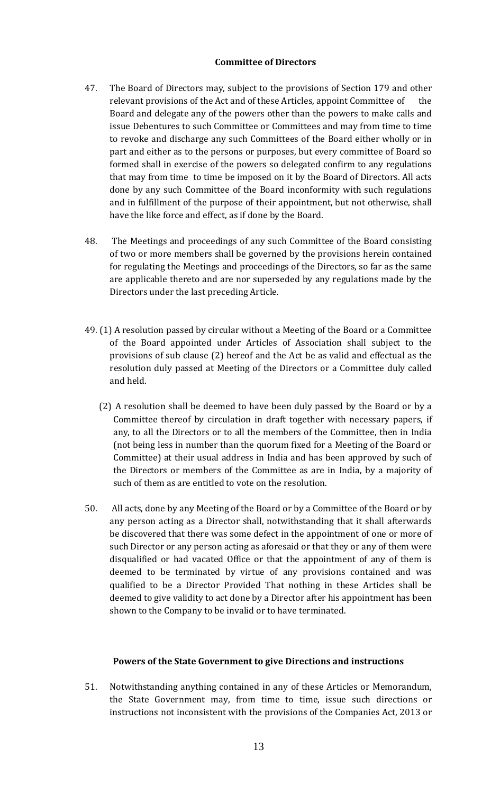# **Committee of Directors**

- 47. The Board of Directors may, subject to the provisions of Section 179 and other relevant provisions of the Act and of these Articles, appoint Committee of the Board and delegate any of the powers other than the powers to make calls and issue Debentures to such Committee or Committees and may from time to time to revoke and discharge any such Committees of the Board either wholly or in part and either as to the persons or purposes, but every committee of Board so formed shall in exercise of the powers so delegated confirm to any regulations that may from time to time be imposed on it by the Board of Directors. All acts done by any such Committee of the Board inconformity with such regulations and in fulfillment of the purpose of their appointment, but not otherwise, shall have the like force and effect, as if done by the Board.
- 48. The Meetings and proceedings of any such Committee of the Board consisting of two or more members shall be governed by the provisions herein contained for regulating the Meetings and proceedings of the Directors, so far as the same are applicable thereto and are nor superseded by any regulations made by the Directors under the last preceding Article.
- 49. (1) A resolution passed by circular without a Meeting of the Board or a Committee of the Board appointed under Articles of Association shall subject to the provisions of sub clause (2) hereof and the Act be as valid and effectual as the resolution duly passed at Meeting of the Directors or a Committee duly called and held.
	- (2) A resolution shall be deemed to have been duly passed by the Board or by a Committee thereof by circulation in draft together with necessary papers, if any, to all the Directors or to all the members of the Committee, then in India (not being less in number than the quorum fixed for a Meeting of the Board or Committee) at their usual address in India and has been approved by such of the Directors or members of the Committee as are in India, by a majority of such of them as are entitled to vote on the resolution.
- 50. All acts, done by any Meeting of the Board or by a Committee of the Board or by any person acting as a Director shall, notwithstanding that it shall afterwards be discovered that there was some defect in the appointment of one or more of such Director or any person acting as aforesaid or that they or any of them were disqualified or had vacated Office or that the appointment of any of them is deemed to be terminated by virtue of any provisions contained and was qualified to be a Director Provided That nothing in these Articles shall be deemed to give validity to act done by a Director after his appointment has been shown to the Company to be invalid or to have terminated.

# **Powers of the State Government to give Directions and instructions**

51. Notwithstanding anything contained in any of these Articles or Memorandum, the State Government may, from time to time, issue such directions or instructions not inconsistent with the provisions of the Companies Act, 2013 or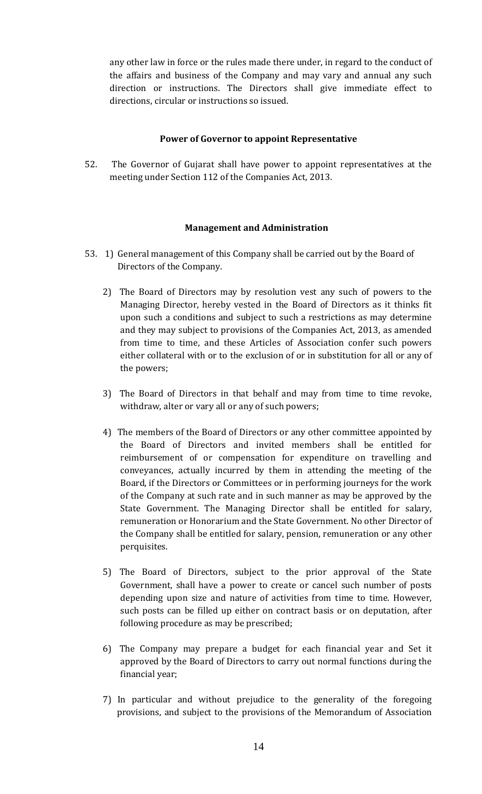any other law in force or the rules made there under, in regard to the conduct of the affairs and business of the Company and may vary and annual any such direction or instructions. The Directors shall give immediate effect to directions, circular or instructions so issued.

## **Power of Governor to appoint Representative**

52. The Governor of Gujarat shall have power to appoint representatives at the meeting under Section 112 of the Companies Act, 2013.

## **Management and Administration**

- 53. 1) General management of this Company shall be carried out by the Board of Directors of the Company.
	- 2) The Board of Directors may by resolution vest any such of powers to the Managing Director, hereby vested in the Board of Directors as it thinks fit upon such a conditions and subject to such a restrictions as may determine and they may subject to provisions of the Companies Act, 2013, as amended from time to time, and these Articles of Association confer such powers either collateral with or to the exclusion of or in substitution for all or any of the powers;
	- 3) The Board of Directors in that behalf and may from time to time revoke, withdraw, alter or vary all or any of such powers;
	- 4) The members of the Board of Directors or any other committee appointed by the Board of Directors and invited members shall be entitled for reimbursement of or compensation for expenditure on travelling and conveyances, actually incurred by them in attending the meeting of the Board, if the Directors or Committees or in performing journeys for the work of the Company at such rate and in such manner as may be approved by the State Government. The Managing Director shall be entitled for salary, remuneration or Honorarium and the State Government. No other Director of the Company shall be entitled for salary, pension, remuneration or any other perquisites.
	- 5) The Board of Directors, subject to the prior approval of the State Government, shall have a power to create or cancel such number of posts depending upon size and nature of activities from time to time. However, such posts can be filled up either on contract basis or on deputation, after following procedure as may be prescribed;
	- 6) The Company may prepare a budget for each financial year and Set it approved by the Board of Directors to carry out normal functions during the financial year;
	- 7) In particular and without prejudice to the generality of the foregoing provisions, and subject to the provisions of the Memorandum of Association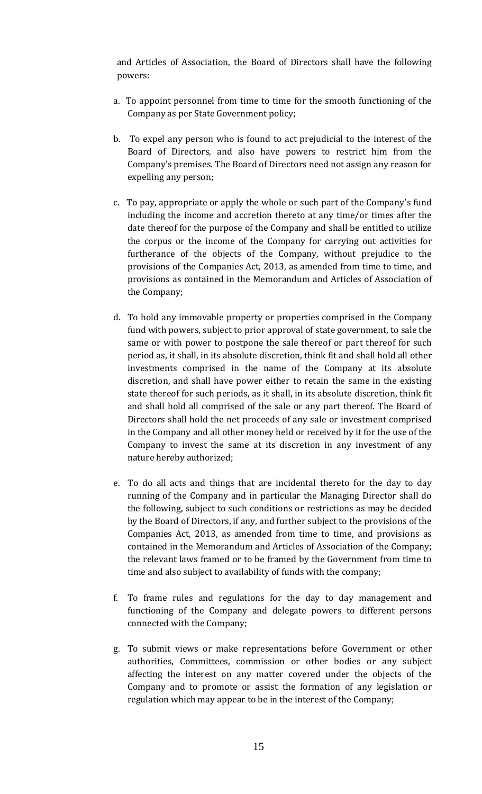and Articles of Association, the Board of Directors shall have the following powers:

- a. To appoint personnel from time to time for the smooth functioning of the Company as per State Government policy;
- b. To expel any person who is found to act prejudicial to the interest of the Board of Directors, and also have powers to restrict him from the Company's premises. The Board of Directors need not assign any reason for expelling any person;
- c. To pay, appropriate or apply the whole or such part of the Company's fund including the income and accretion thereto at any time/or times after the date thereof for the purpose of the Company and shall be entitled to utilize the corpus or the income of the Company for carrying out activities for furtherance of the objects of the Company, without prejudice to the provisions of the Companies Act, 2013, as amended from time to time, and provisions as contained in the Memorandum and Articles of Association of the Company;
- d. To hold any immovable property or properties comprised in the Company fund with powers, subject to prior approval of state government, to sale the same or with power to postpone the sale thereof or part thereof for such period as, it shall, in its absolute discretion, think fit and shall hold all other investments comprised in the name of the Company at its absolute discretion, and shall have power either to retain the same in the existing state thereof for such periods, as it shall, in its absolute discretion, think fit and shall hold all comprised of the sale or any part thereof. The Board of Directors shall hold the net proceeds of any sale or investment comprised in the Company and all other money held or received by it for the use of the Company to invest the same at its discretion in any investment of any nature hereby authorized;
- e. To do all acts and things that are incidental thereto for the day to day running of the Company and in particular the Managing Director shall do the following, subject to such conditions or restrictions as may be decided by the Board of Directors, if any, and further subject to the provisions of the Companies Act, 2013, as amended from time to time, and provisions as contained in the Memorandum and Articles of Association of the Company; the relevant laws framed or to be framed by the Government from time to time and also subject to availability of funds with the company;
- f. To frame rules and regulations for the day to day management and functioning of the Company and delegate powers to different persons connected with the Company;
- g. To submit views or make representations before Government or other authorities, Committees, commission or other bodies or any subject affecting the interest on any matter covered under the objects of the Company and to promote or assist the formation of any legislation or regulation which may appear to be in the interest of the Company;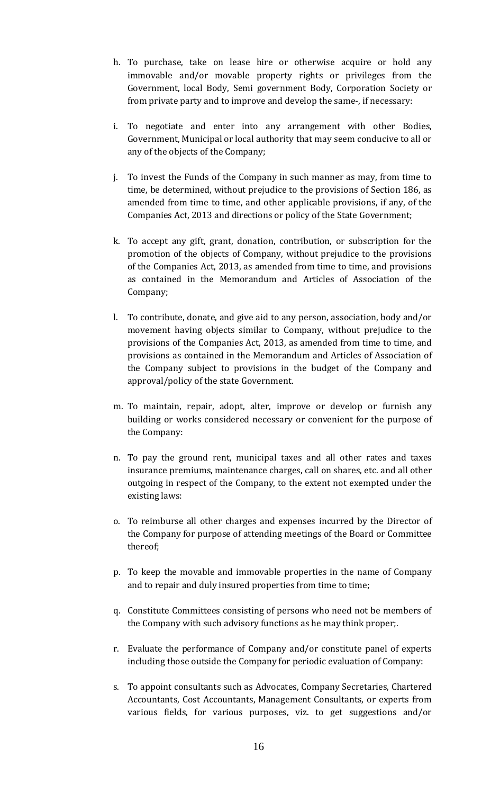- h. To purchase, take on lease hire or otherwise acquire or hold any immovable and/or movable property rights or privileges from the Government, local Body, Semi government Body, Corporation Society or from private party and to improve and develop the same-, if necessary:
- i. To negotiate and enter into any arrangement with other Bodies, Government, Municipal or local authority that may seem conducive to all or any of the objects of the Company;
- j. To invest the Funds of the Company in such manner as may, from time to time, be determined, without prejudice to the provisions of Section 186, as amended from time to time, and other applicable provisions, if any, of the Companies Act, 2013 and directions or policy of the State Government;
- k. To accept any gift, grant, donation, contribution, or subscription for the promotion of the objects of Company, without prejudice to the provisions of the Companies Act, 2013, as amended from time to time, and provisions as contained in the Memorandum and Articles of Association of the Company;
- l. To contribute, donate, and give aid to any person, association, body and/or movement having objects similar to Company, without prejudice to the provisions of the Companies Act, 2013, as amended from time to time, and provisions as contained in the Memorandum and Articles of Association of the Company subject to provisions in the budget of the Company and approval/policy of the state Government.
- m. To maintain, repair, adopt, alter, improve or develop or furnish any building or works considered necessary or convenient for the purpose of the Company:
- n. To pay the ground rent, municipal taxes and all other rates and taxes insurance premiums, maintenance charges, call on shares, etc. and all other outgoing in respect of the Company, to the extent not exempted under the existing laws:
- o. To reimburse all other charges and expenses incurred by the Director of the Company for purpose of attending meetings of the Board or Committee thereof;
- p. To keep the movable and immovable properties in the name of Company and to repair and duly insured properties from time to time;
- q. Constitute Committees consisting of persons who need not be members of the Company with such advisory functions as he may think proper;.
- r. Evaluate the performance of Company and/or constitute panel of experts including those outside the Company for periodic evaluation of Company:
- s. To appoint consultants such as Advocates, Company Secretaries, Chartered Accountants, Cost Accountants, Management Consultants, or experts from various fields, for various purposes, viz. to get suggestions and/or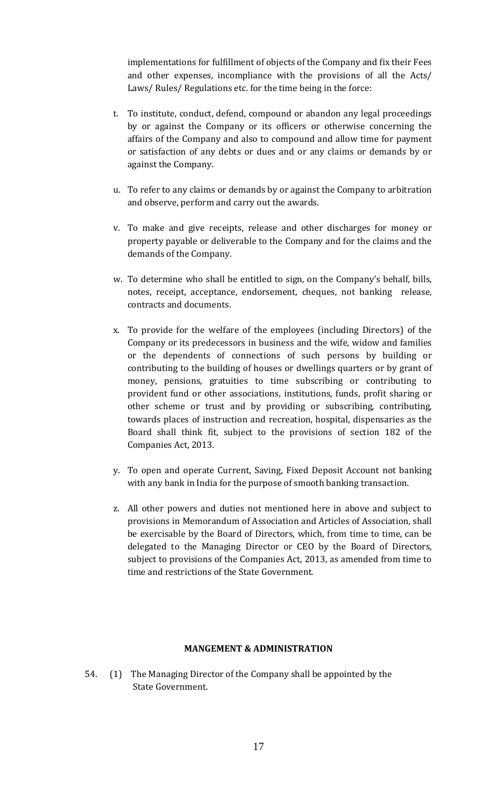implementations for fulfillment of objects of the Company and fix their Fees and other expenses, incompliance with the provisions of all the Acts/ Laws/ Rules/ Regulations etc. for the time being in the force:

- t. To institute, conduct, defend, compound or abandon any legal proceedings by or against the Company or its officers or otherwise concerning the affairs of the Company and also to compound and allow time for payment or satisfaction of any debts or dues and or any claims or demands by or against the Company.
- u. To refer to any claims or demands by or against the Company to arbitration and observe, perform and carry out the awards.
- v. To make and give receipts, release and other discharges for money or property payable or deliverable to the Company and for the claims and the demands of the Company.
- w. To determine who shall be entitled to sign, on the Company's behalf, bills, notes, receipt, acceptance, endorsement, cheques, not banking release, contracts and documents.
- x. To provide for the welfare of the employees (including Directors) of the Company or its predecessors in business and the wife, widow and families or the dependents of connections of such persons by building or contributing to the building of houses or dwellings quarters or by grant of money, pensions, gratuities to time subscribing or contributing to provident fund or other associations, institutions, funds, profit sharing or other scheme or trust and by providing or subscribing, contributing, towards places of instruction and recreation, hospital, dispensaries as the Board shall think fit, subject to the provisions of section 182 of the Companies Act, 2013.
- y. To open and operate Current, Saving, Fixed Deposit Account not banking with any bank in India for the purpose of smooth banking transaction.
- z. All other powers and duties not mentioned here in above and subject to provisions in Memorandum of Association and Articles of Association, shall be exercisable by the Board of Directors, which, from time to time, can be delegated to the Managing Director or CEO by the Board of Directors, subject to provisions of the Companies Act, 2013, as amended from time to time and restrictions of the State Government.

#### **MANGEMENT & ADMINISTRATION**

54. (1) The Managing Director of the Company shall be appointed by the State Government.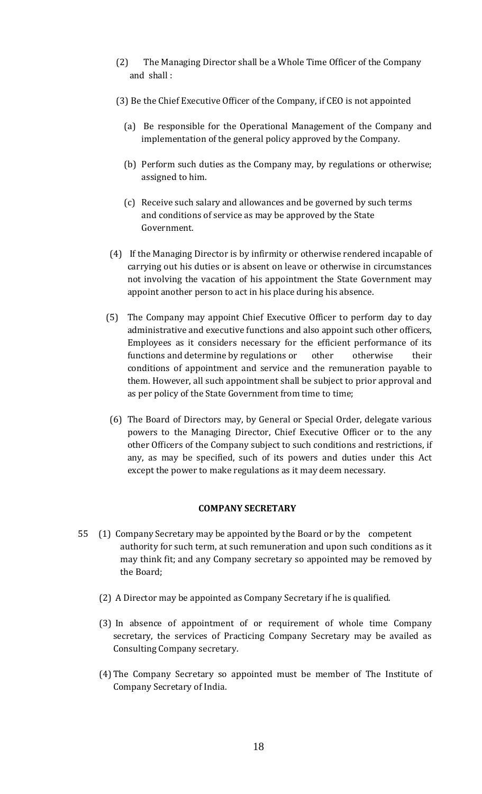- (2) The Managing Director shall be a Whole Time Officer of the Company and shall :
- (3) Be the Chief Executive Officer of the Company, if CEO is not appointed
	- (a) Be responsible for the Operational Management of the Company and implementation of the general policy approved by the Company.
	- (b) Perform such duties as the Company may, by regulations or otherwise; assigned to him.
	- (c) Receive such salary and allowances and be governed by such terms and conditions of service as may be approved by the State Government.
- (4) If the Managing Director is by infirmity or otherwise rendered incapable of carrying out his duties or is absent on leave or otherwise in circumstances not involving the vacation of his appointment the State Government may appoint another person to act in his place during his absence.
- (5) The Company may appoint Chief Executive Officer to perform day to day administrative and executive functions and also appoint such other officers, Employees as it considers necessary for the efficient performance of its functions and determine by regulations or other otherwise their conditions of appointment and service and the remuneration payable to them. However, all such appointment shall be subject to prior approval and as per policy of the State Government from time to time;
- (6) The Board of Directors may, by General or Special Order, delegate various powers to the Managing Director, Chief Executive Officer or to the any other Officers of the Company subject to such conditions and restrictions, if any, as may be specified, such of its powers and duties under this Act except the power to make regulations as it may deem necessary.

#### **COMPANY SECRETARY**

- 55 (1) Company Secretary may be appointed by the Board or by the competent authority for such term, at such remuneration and upon such conditions as it may think fit; and any Company secretary so appointed may be removed by the Board;
	- (2) A Director may be appointed as Company Secretary if he is qualified.
	- (3) In absence of appointment of or requirement of whole time Company secretary, the services of Practicing Company Secretary may be availed as Consulting Company secretary.
	- (4) The Company Secretary so appointed must be member of The Institute of Company Secretary of India.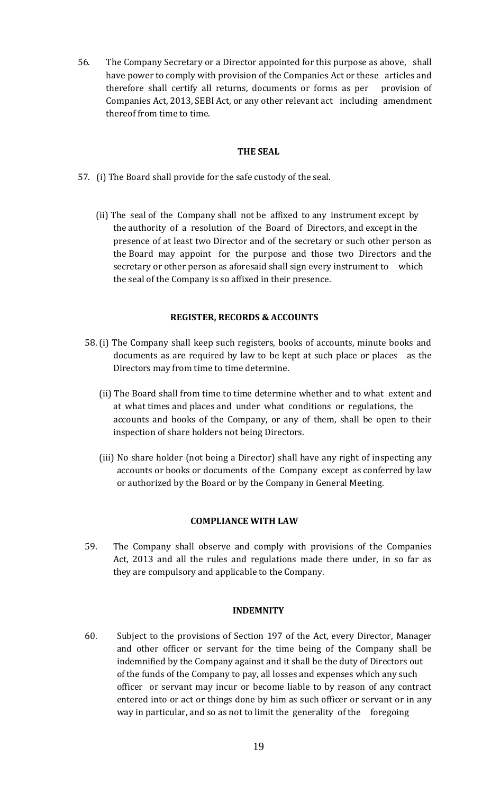56. The Company Secretary or a Director appointed for this purpose as above, shall have power to comply with provision of the Companies Act or these articles and therefore shall certify all returns, documents or forms as per provision of Companies Act, 2013, SEBI Act, or any other relevant act including amendment thereof from time to time.

## **THE SEAL**

- 57. (i) The Board shall provide for the safe custody of the seal.
	- (ii) The seal of the Company shall not be affixed to any instrument except by the authority of a resolution of the Board of Directors, and except in the presence of at least two Director and of the secretary or such other person as the Board may appoint for the purpose and those two Directors and the secretary or other person as aforesaid shall sign every instrument to which the seal of the Company is so affixed in their presence.

# **REGISTER, RECORDS & ACCOUNTS**

- 58. (i) The Company shall keep such registers, books of accounts, minute books and documents as are required by law to be kept at such place or places as the Directors may from time to time determine.
	- (ii) The Board shall from time to time determine whether and to what extent and at what times and places and under what conditions or regulations, the accounts and books of the Company, or any of them, shall be open to their inspection of share holders not being Directors.
	- (iii) No share holder (not being a Director) shall have any right of inspecting any accounts or books or documents of the Company except as conferred by law or authorized by the Board or by the Company in General Meeting.

#### **COMPLIANCE WITH LAW**

59. The Company shall observe and comply with provisions of the Companies Act, 2013 and all the rules and regulations made there under, in so far as they are compulsory and applicable to the Company.

#### **INDEMNITY**

60. Subject to the provisions of Section 197 of the Act, every Director, Manager and other officer or servant for the time being of the Company shall be indemnified by the Company against and it shall be the duty of Directors out of the funds of the Company to pay, all losses and expenses which any such officer or servant may incur or become liable to by reason of any contract entered into or act or things done by him as such officer or servant or in any way in particular, and so as not to limit the generality of the foregoing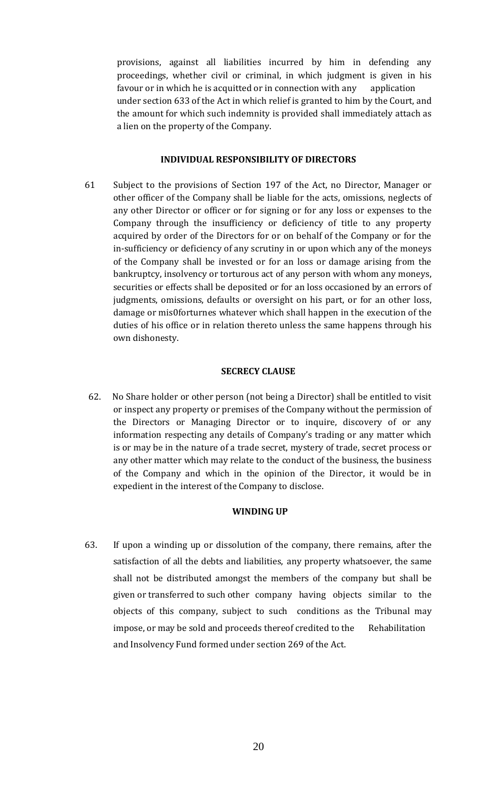provisions, against all liabilities incurred by him in defending any proceedings, whether civil or criminal, in which judgment is given in his favour or in which he is acquitted or in connection with any application under section 633 of the Act in which relief is granted to him by the Court, and the amount for which such indemnity is provided shall immediately attach as a lien on the property of the Company.

#### **INDIVIDUAL RESPONSIBILITY OF DIRECTORS**

61 Subject to the provisions of Section 197 of the Act, no Director, Manager or other officer of the Company shall be liable for the acts, omissions, neglects of any other Director or officer or for signing or for any loss or expenses to the Company through the insufficiency or deficiency of title to any property acquired by order of the Directors for or on behalf of the Company or for the in-sufficiency or deficiency of any scrutiny in or upon which any of the moneys of the Company shall be invested or for an loss or damage arising from the bankruptcy, insolvency or torturous act of any person with whom any moneys, securities or effects shall be deposited or for an loss occasioned by an errors of judgments, omissions, defaults or oversight on his part, or for an other loss, damage or mis0forturnes whatever which shall happen in the execution of the duties of his office or in relation thereto unless the same happens through his own dishonesty.

#### **SECRECY CLAUSE**

62. No Share holder or other person (not being a Director) shall be entitled to visit or inspect any property or premises of the Company without the permission of the Directors or Managing Director or to inquire, discovery of or any information respecting any details of Company's trading or any matter which is or may be in the nature of a trade secret, mystery of trade, secret process or any other matter which may relate to the conduct of the business, the business of the Company and which in the opinion of the Director, it would be in expedient in the interest of the Company to disclose.

#### **WINDING UP**

63. If upon a winding up or dissolution of the company, there remains, after the satisfaction of all the debts and liabilities, any property whatsoever, the same shall not be distributed amongst the members of the company but shall be given or transferred to such other company having objects similar to the objects of this company, subject to such conditions as the Tribunal may impose, or may be sold and proceeds thereof credited to the Rehabilitation and Insolvency Fund formed under section 269 of the Act.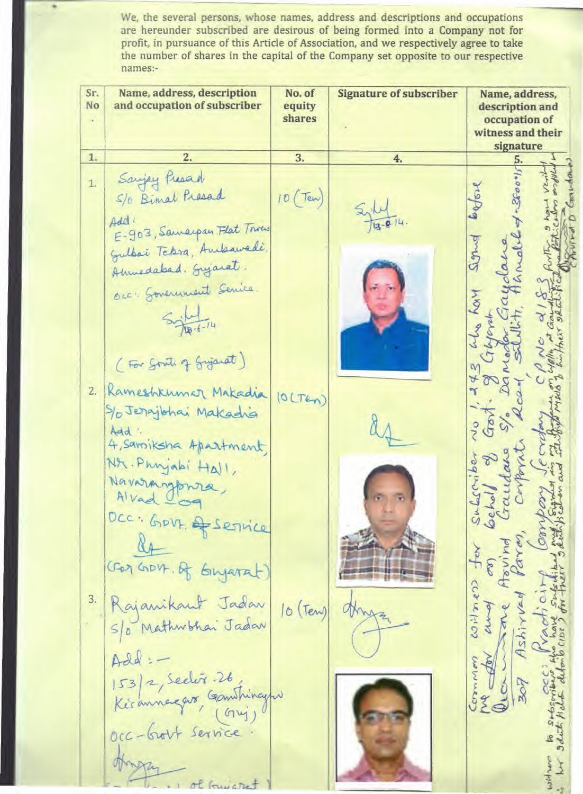We, the several persons, whose names, address and descriptions and occupation are hereunder subscribed are desirous of being formed into a Company not for profit, in pursuance of this Article of Association, and we respectively agree to take the number of shares in the capital of the Company set opposite to our respective names:-

| Sr.<br>No | Name, address, description<br>and occupation of subscriber                                                             | No. of<br>equity<br>shares | <b>Signature of subscriber</b> | Name, address,<br>description and<br>occupation of<br>witness and their<br>signature |
|-----------|------------------------------------------------------------------------------------------------------------------------|----------------------------|--------------------------------|--------------------------------------------------------------------------------------|
| 1.        | 2.                                                                                                                     | 3.                         | 4.                             | 5.                                                                                   |
| 1.        | Sanjey Presad<br>5/0 Bimal Presad<br>Add<br>E-903, Samarpan Flat Trous                                                 | 10(Tew)                    |                                |                                                                                      |
|           | Gulbai Tckra, Ambawedi,<br>Amuedabad. Syjarat.<br>occ. Sovernment Senice.<br>$18.6 - 14$                               |                            |                                | Sign<br>z                                                                            |
| 2.        | (For South of Gyjarat)<br>Rameshkumar Makadia<br>S/ Jerajbhai Makadia<br>Add<br>4, samiksha Apartment,                 | (OLTEN)                    |                                | $\mathcal{C}$                                                                        |
|           | NA. Phryabi Hall,<br>Navarangpara,<br>Alvad<br>DCC: GOVE & SETVICE<br>CEON GIDVA. Of GINJAN                            |                            |                                | a                                                                                    |
| 3.        | Rajanikant Jadar<br>S/o Mathwhai Jadar<br>Add:<br>$ 53 2,$ Sector -26,<br>Ke's annegars, Gambingho<br>cc-brout service | $10$ (Ten)                 |                                | $(50 - 5)$                                                                           |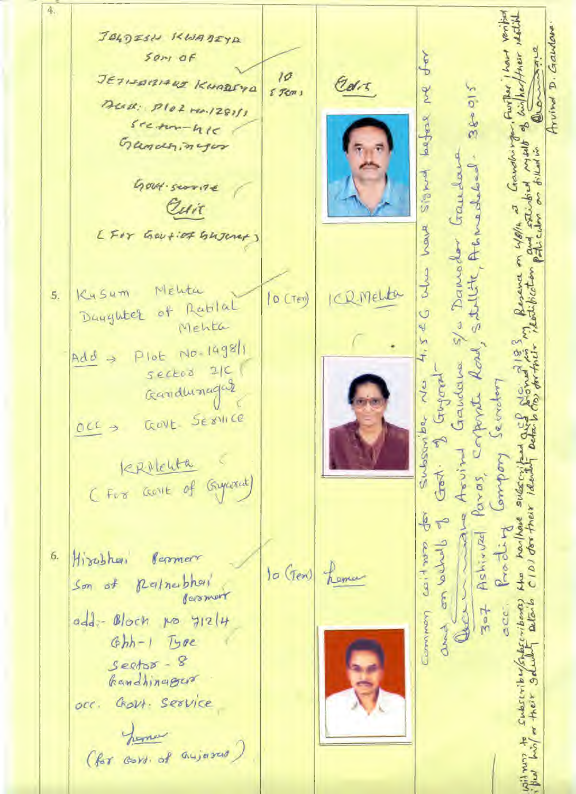4. D. Gaulove JOLDESN KWADIYA  $50<sub>7</sub>$  of ٩ JETISBILIARS KHARFYR  $10<sup>2</sup>$ Cars z  $38 - 015$ Further  $55cm$ Deall: Plot rea. 1281/1 Arvino 3 laegrese  $s$ ream-hie **Po** tandhirth Gandhinger ars hu S/a Damodor Gaudous Acnoched. **There** Gout-scorite Cuit have you on work [For Gov+iof Gujerer)  $\begin{array}{c} 3 \\ 3 \end{array}$ SANLIK Mehta Kysum ICR Melta 5.  $|0$  (Ter) Daughter of Rablal  $4, 54C$ Mehta Plot No. 1498/1 corporate Road  $Add \rightarrow$ Gandana sector 2/C Jugoral Gandhinagas Subsoniba No envoter GOVE SEXVILLE  $OCC \rightarrow$ Arvin omport terrichten Gest. Paras, harthand subscript (For come of Gypsout) CIDI dor their iden adve  $\frac{1}{2}$  $\tilde{\theta}$ Prodit Ashirval والمساءمة محمد court hiss Hirobhai 6. Persmer hema  $10$  (Ten) MAD Queria Son of Reinerbhoi Bermert  $ribound)$  $Q(\overline{a}, b)$ acc.  $z = 7$ COMUNICATION add: Block no y12/4 Joseph Ghh-1 Type  $S$ eets $x - 8$ Gandhinager HREAF occ. Govt. Service hemos (for cort, of anjured)